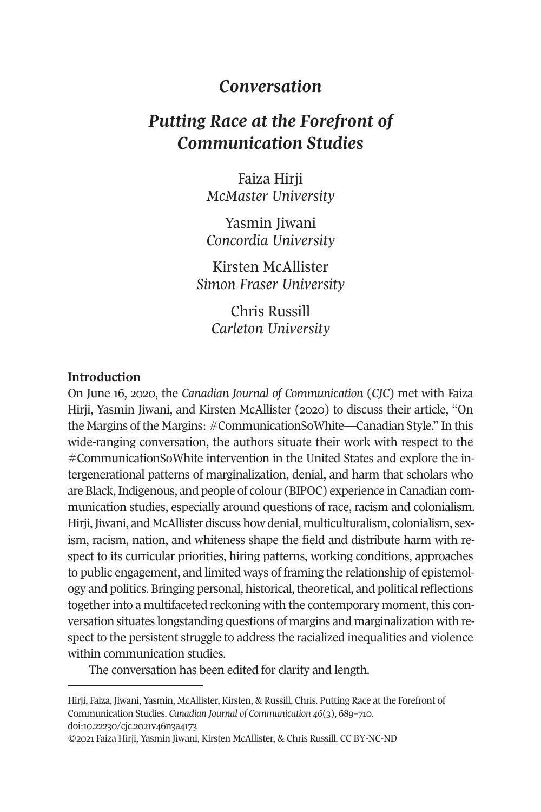# *Conversation*

# *Putting Race at the Forefront of Communication Studies*

Faiza Hirji *McMaster University* 

Yasmin Jiwani *Concordia University* 

Kirsten McAllister *Simon Fraser University* 

> Chris Russill *Carleton University*

### **Introduction**

On June 16, 2020, the *Canadian Journal of Communication* (*CJC*) met with Faiza Hirji, Yasmin Jiwani, and Kirsten McAllister (2020) to discuss their article, "On the Margins of the Margins: #CommunicationSoWhite—Canadian Style." In this wide-ranging conversation, the authors situate their work with respect to the #CommunicationSoWhite intervention in the United States and explore the intergenerational patterns of marginalization, denial, and harm that scholars who are Black, Indigenous, and people of colour (BIPOC) experience in Canadian communication studies, especially around questions of race, racism and colonialism. Hirji, Jiwani, and McAllister discuss how denial, multiculturalism, colonialism, sexis[m, racism, nation, and w](https://doi.org/10.22230/cjc.2021v46n3a4173)hiteness shape the field and distribute harm with respect to its curricular priorities, hiring patterns, working conditions, approaches to public engagement, and limited ways of framing the relationship of epistemology and politics. Bringing personal, historical, theoretical, and political reflections together into a multifaceted reckoning with the contemporary moment, this conversation situates longstanding questions of margins and marginalization with respect to the persistent struggle to address the racialized inequalities and violence within communication studies.

The conversation has been edited for clarity and length.

Hirji, Faiza, Jiwani, Yasmin, McAllister, Kirsten, & Russill, Chris. Putting Race at the Forefront of Communication Studies. *Canadian Journal of Communication 46*(3), 689–710. doi:10.22230/cjc.2021v46n3a4173

<sup>©2021</sup> Faiza Hirji, Yasmin Jiwani, Kirsten McAllister, & Chris Russill. CC BY-NC-ND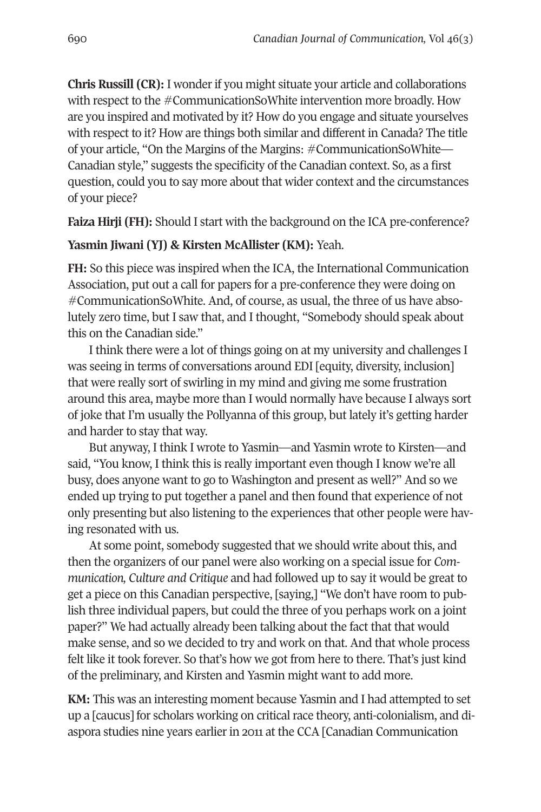**Chris Russill (CR):** I wonder if you might situate your article and collaborations with respect to the #CommunicationSoWhite intervention more broadly. How are you inspired and motivated by it? How do you engage and situate yourselves with respect to it? How are things both similar and different in Canada? The title of your article, "On the Margins of the Margins: #CommunicationSoWhite— Canadian style," suggests the specificity of the Canadian context. So, as a first question, could you to say more about that wider context and the circumstances of your piece?

**Faiza Hirji (FH):** Should I start with the background on the ICA pre-conference?

#### **Yasmin Jiwani (YJ) & Kirsten McAllister (KM):** Yeah.

**FH:** So this piece was inspired when the ICA, the International Communication Association, put out a call for papers for a pre-conference they were doing on #CommunicationSoWhite. And, of course, as usual, the three of us have absolutely zero time, but I saw that, and I thought, "Somebody should speak about this on the Canadian side."

I think there were a lot of things going on at my university and challenges I was seeing in terms of conversations around EDI [equity, diversity, inclusion] that were really sort of swirling in my mind and giving me some frustration around this area, maybe more than I would normally have because I always sort of joke that I'm usually the Pollyanna of this group, but lately it's getting harder and harder to stay that way.

But anyway, I think I wrote to Yasmin—and Yasmin wrote to Kirsten—and said, "You know, I think this is really important even though I know we're all busy, does anyone want to go to Washington and present as well?" And so we ended up trying to put together a panel and then found that experience of not only presenting but also listening to the experiences that other people were having resonated with us.

At some point, somebody suggested that we should write about this, and then the organizers of our panel were also working on a special issue for *Communication, Culture and Critique* and had followed up to say it would be great to get a piece on this Canadian perspective, [saying,] "We don't have room to publish three individual papers, but could the three of you perhaps work on a joint paper?" We had actually already been talking about the fact that that would make sense, and so we decided to try and work on that. And that whole process felt like it took forever. So that's how we got from here to there. That's just kind of the preliminary, and Kirsten and Yasmin might want to add more.

**KM:** This was an interesting moment because Yasmin and I had attempted to set up a [caucus] for scholars working on critical race theory, anti-colonialism, and diaspora studies nine years earlier in 2011 at the CCA [Canadian Communication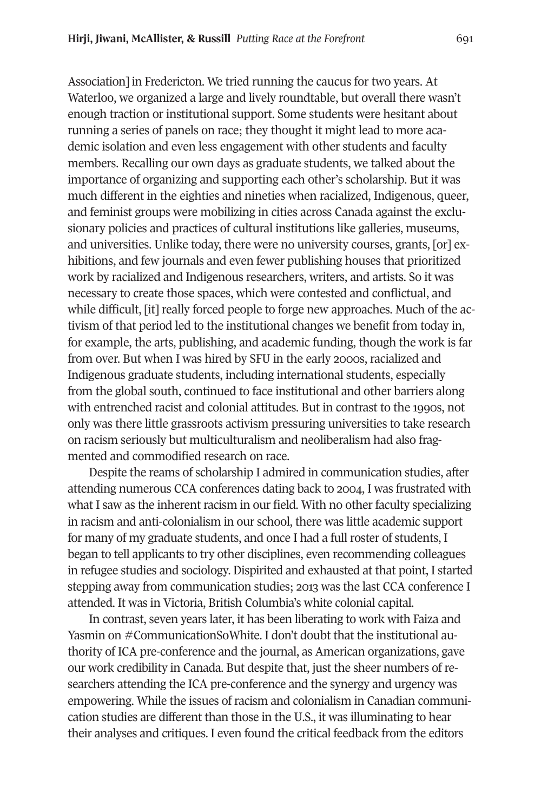Association] in Fredericton. We tried running the caucus for two years. At Waterloo, we organized a large and lively roundtable, but overall there wasn't enough traction or institutional support. Some students were hesitant about running a series of panels on race; they thought it might lead to more academic isolation and even less engagement with other students and faculty members. Recalling our own days as graduate students, we talked about the importance of organizing and supporting each other's scholarship. But it was much different in the eighties and nineties when racialized, Indigenous, queer, and feminist groups were mobilizing in cities across Canada against the exclusionary policies and practices of cultural institutions like galleries, museums, and universities. Unlike today, there were no university courses, grants, [or] exhibitions, and few journals and even fewer publishing houses that prioritized work by racialized and Indigenous researchers, writers, and artists. So it was necessary to create those spaces, which were contested and conflictual, and while difficult, [it] really forced people to forge new approaches. Much of the activism of that period led to the institutional changes we benefit from today in, for example, the arts, publishing, and academic funding, though the work is far from over. But when I was hired by SFU in the early 2000s, racialized and Indigenous graduate students, including international students, especially from the global south, continued to face institutional and other barriers along with entrenched racist and colonial attitudes. But in contrast to the 1990s, not only was there little grassroots activism pressuring universities to take research on racism seriously but multiculturalism and neoliberalism had also fragmented and commodified research on race.

Despite the reams of scholarship I admired in communication studies, after attending numerous CCA conferences dating back to 2004, I was frustrated with what I saw as the inherent racism in our field. With no other faculty specializing in racism and anti-colonialism in our school, there was little academic support for many of my graduate students, and once I had a full roster of students, I began to tell applicants to try other disciplines, even recommending colleagues in refugee studies and sociology. Dispirited and exhausted at that point, I started stepping away from communication studies; 2013 was the last CCA conference I attended. It was in Victoria, British Columbia's white colonial capital.

In contrast, seven years later, it has been liberating to work with Faiza and Yasmin on #CommunicationSoWhite. I don't doubt that the institutional authority of ICA pre-conference and the journal, as American organizations, gave our work credibility in Canada. But despite that, just the sheer numbers of researchers attending the ICA pre-conference and the synergy and urgency was empowering. While the issues of racism and colonialism in Canadian communication studies are different than those in the U.S., it was illuminating to hear their analyses and critiques. I even found the critical feedback from the editors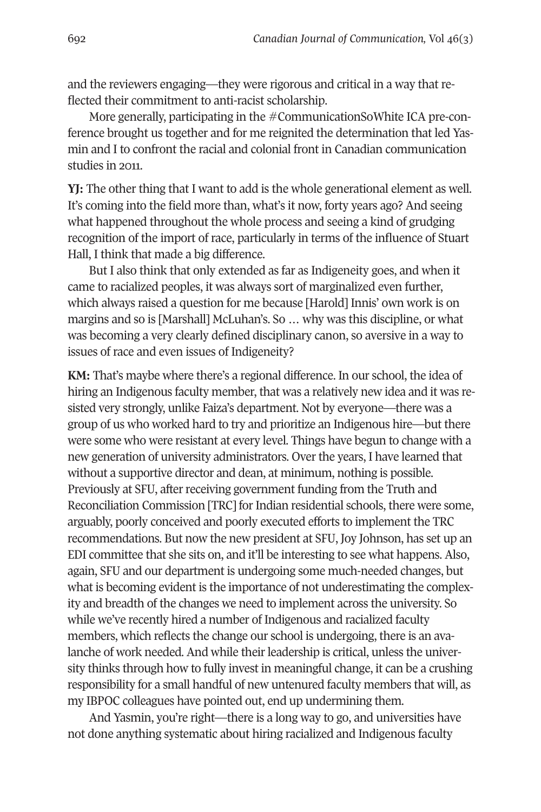and the reviewers engaging—they were rigorous and critical in a way that reflected their commitment to anti-racist scholarship.

More generally, participating in the #CommunicationSoWhite ICA pre-conference brought us together and for me reignited the determination that led Yasmin and I to confront the racial and colonial front in Canadian communication studies in 2011.

**YJ:** The other thing that I want to add is the whole generational element as well. It's coming into the field more than, what's it now, forty years ago? And seeing what happened throughout the whole process and seeing a kind of grudging recognition of the import of race, particularly in terms of the influence of Stuart Hall, I think that made a big difference.

But I also think that only extended as far as Indigeneity goes, and when it came to racialized peoples, it was always sort of marginalized even further, which always raised a question for me because [Harold] Innis' own work is on margins and so is [Marshall] McLuhan's. So … why was this discipline, or what was becoming a very clearly defined disciplinary canon, so aversive in a way to issues of race and even issues of Indigeneity?

**KM:** That's maybe where there's a regional difference. In our school, the idea of hiring an Indigenous faculty member, that was a relatively new idea and it was resisted very strongly, unlike Faiza's department. Not by everyone—there was a group of us who worked hard to try and prioritize an Indigenous hire—but there were some who were resistant at every level. Things have begun to change with a new generation of university administrators. Over the years, I have learned that without a supportive director and dean, at minimum, nothing is possible. Previously at SFU, after receiving government funding from the Truth and Reconciliation Commission [TRC] for Indian residential schools, there were some, arguably, poorly conceived and poorly executed efforts to implement the TRC recommendations. But now the new president at SFU, Joy Johnson, has set up an EDI committee that she sits on, and it'll be interesting to see what happens. Also, again, SFU and our department is undergoing some much-needed changes, but what is becoming evident is the importance of not underestimating the complexity and breadth of the changes we need to implement across the university. So while we've recently hired a number of Indigenous and racialized faculty members, which reflects the change our school is undergoing, there is an avalanche of work needed. And while their leadership is critical, unless the university thinks through how to fully invest in meaningful change, it can be a crushing responsibility for a small handful of new untenured faculty members that will, as my IBPOC colleagues have pointed out, end up undermining them.

And Yasmin, you're right—there is a long way to go, and universities have not done anything systematic about hiring racialized and Indigenous faculty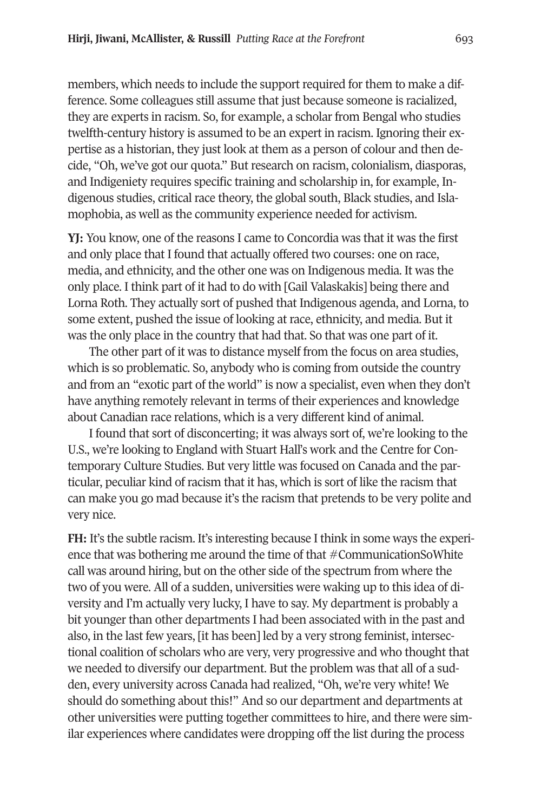members, which needs to include the support required for them to make a difference. Some colleagues still assume that just because someone is racialized, they are experts in racism. So, for example, a scholar from Bengal who studies twelfth-century history is assumed to be an expert in racism. Ignoring their expertise as a historian, they just look at them as a person of colour and then decide, "Oh, we've got our quota." But research on racism, colonialism, diasporas, and Indigeniety requires specific training and scholarship in, for example, Indigenous studies, critical race theory, the global south, Black studies, and Islamophobia, as well as the community experience needed for activism.

**YJ:** You know, one of the reasons I came to Concordia was that it was the first and only place that I found that actually offered two courses: one on race, media, and ethnicity, and the other one was on Indigenous media. It was the only place. I think part of it had to do with [Gail Valaskakis] being there and Lorna Roth. They actually sort of pushed that Indigenous agenda, and Lorna, to some extent, pushed the issue of looking at race, ethnicity, and media. But it was the only place in the country that had that. So that was one part of it.

The other part of it was to distance myself from the focus on area studies, which is so problematic. So, anybody who is coming from outside the country and from an "exotic part of the world" is now a specialist, even when they don't have anything remotely relevant in terms of their experiences and knowledge about Canadian race relations, which is a very different kind of animal.

I found that sort of disconcerting; it was always sort of, we're looking to the U.S., we're looking to England with Stuart Hall's work and the Centre for Contemporary Culture Studies. But very little was focused on Canada and the particular, peculiar kind of racism that it has, which is sort of like the racism that can make you go mad because it's the racism that pretends to be very polite and very nice.

**FH:** It's the subtle racism. It's interesting because I think in some ways the experience that was bothering me around the time of that  $#CommunicationSoWhite$ call was around hiring, but on the other side of the spectrum from where the two of you were. All of a sudden, universities were waking up to this idea of diversity and I'm actually very lucky, I have to say. My department is probably a bit younger than other departments I had been associated with in the past and also, in the last few years, [it has been] led by a very strong feminist, intersectional coalition of scholars who are very, very progressive and who thought that we needed to diversify our department. But the problem was that all of a sudden, every university across Canada had realized, "Oh, we're very white! We should do something about this!" And so our department and departments at other universities were putting together committees to hire, and there were similar experiences where candidates were dropping off the list during the process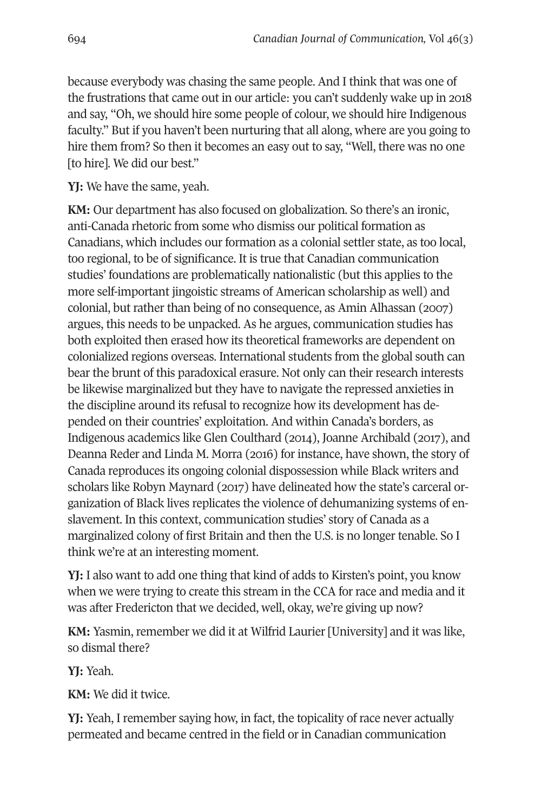because everybody was chasing the same people. And I think that was one of the frustrations that came out in our article: you can't suddenly wake up in 2018 and say, "Oh, we should hire some people of colour, we should hire Indigenous faculty." But if you haven't been nurturing that all along, where are you going to hire them from? So then it becomes an easy out to say, "Well, there was no one [to hire]. We did our best."

**YJ:** We have the same, yeah.

**KM:** Our department has also focused on globalization. So there's an ironic, anti-Canada rhetoric from some who dismiss our political formation as Canadians, which includes our formation as a colonial settler state, as too local, too regional, to be of significance. It is true that Canadian communication studies' foundations are problematically nationalistic (but this applies to the more self-important jingoistic streams of American scholarship as well) and colonial, but rather than being of no consequence, as Amin Alhassan (2007) argues, this needs to be unpacked. As he argues, communication studies has both exploited then erased how its theoretical frameworks are dependent on colonialized regions overseas. International students from the global south can bear the brunt of this paradoxical erasure. Not only can their research interests be likewise marginalized but they have to navigate the repressed anxieties in the discipline around its refusal to recognize how its development has depended on their countries' exploitation. And within Canada's borders, as Indigenous academics like Glen Coulthard (2014), Joanne Archibald (2017), and Deanna Reder and Linda M. Morra (2016) for instance, have shown, the story of Canada reproduces its ongoing colonial dispossession while Black writers and scholars like Robyn Maynard (2017) have delineated how the state's carceral organization of Black lives replicates the violence of dehumanizing systems of enslavement. In this context, communication studies' story of Canada as a marginalized colony of first Britain and then the U.S. is no longer tenable. So I think we're at an interesting moment.

**YJ:** I also want to add one thing that kind of adds to Kirsten's point, you know when we were trying to create this stream in the CCA for race and media and it was after Fredericton that we decided, well, okay, we're giving up now?

**KM:** Yasmin, remember we did it at Wilfrid Laurier [University] and it was like, so dismal there?

**YJ:** Yeah.

**KM:** We did it twice.

**YJ:** Yeah, I remember saying how, in fact, the topicality of race never actually permeated and became centred in the field or in Canadian communication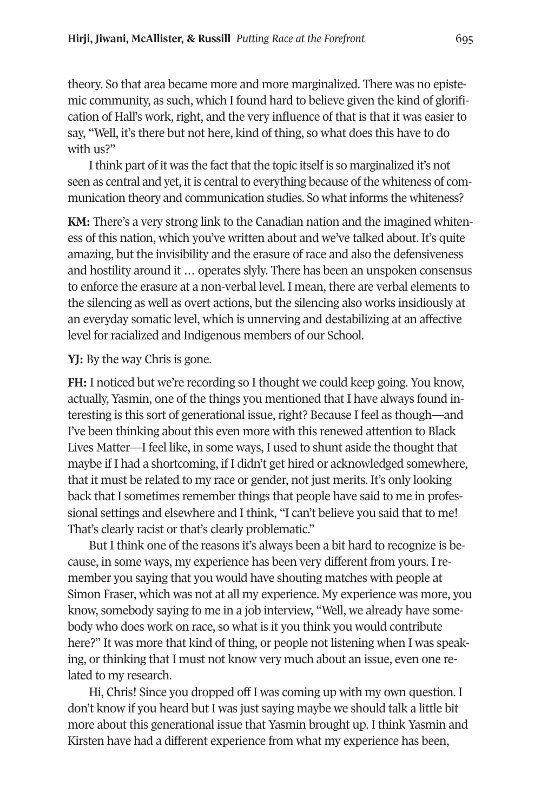theory. So that area became more and more marginalized. There was no epistemic community, as such, which I found hard to believe given the kind of glorification of Hall's work, right, and the very influence of that is that it was easier to say, "Well, it's there but not here, kind of thing, so what does this have to do with us?"

I think part of it was the fact that the topic itself is so marginalized it's not seen as central and yet, it is central to everything because of the whiteness of communication theory and communication studies. So what informs the whiteness?

**KM:** There's a very strong link to the Canadian nation and the imagined whiteness of this nation, which you've written about and we've talked about. It's quite amazing, but the invisibility and the erasure of race and also the defensiveness and hostility around it … operates slyly. There has been an unspoken consensus to enforce the erasure at a non-verbal level. I mean, there are verbal elements to the silencing as well as overt actions, but the silencing also works insidiously at an everyday somatic level, which is unnerving and destabilizing at an affective level for racialized and Indigenous members of our School.

**YJ:** By the way Chris is gone.

**FH:** I noticed but we're recording so I thought we could keep going. You know, actually, Yasmin, one of the things you mentioned that I have always found interesting is this sort of generational issue, right? Because I feel as though**—**and I've been thinking about this even more with this renewed attention to Black Lives Matter—I feel like, in some ways, I used to shunt aside the thought that maybe if I had a shortcoming, if I didn't get hired or acknowledged somewhere, that it must be related to my race or gender, not just merits. It's only looking back that I sometimes remember things that people have said to me in professional settings and elsewhere and I think, "I can't believe you said that to me! That's clearly racist or that's clearly problematic."

But I think one of the reasons it's always been a bit hard to recognize is because, in some ways, my experience has been very different from yours. I remember you saying that you would have shouting matches with people at Simon Fraser, which was not at all my experience. My experience was more, you know, somebody saying to me in a job interview, "Well, we already have somebody who does work on race, so what is it you think you would contribute here?" It was more that kind of thing, or people not listening when I was speaking, or thinking that I must not know very much about an issue, even one related to my research.

Hi, Chris! Since you dropped off I was coming up with my own question. I don't know if you heard but I was just saying maybe we should talk a little bit more about this generational issue that Yasmin brought up. I think Yasmin and Kirsten have had a different experience from what my experience has been,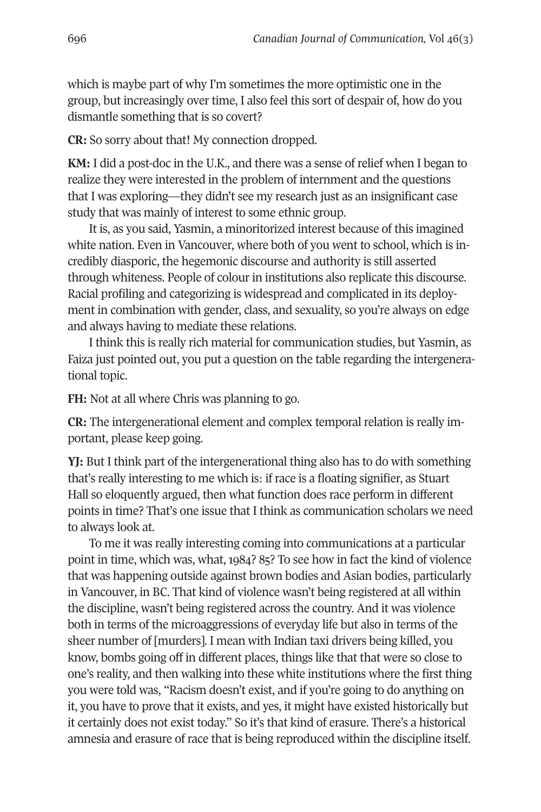which is maybe part of why I'm sometimes the more optimistic one in the group, but increasingly over time, I also feel this sort of despair of, how do you dismantle something that is so covert?

**CR:** So sorry about that! My connection dropped.

**KM:** I did a post-doc in the U.K., and there was a sense of relief when I began to realize they were interested in the problem of internment and the questions that I was exploring—they didn't see my research just as an insignificant case study that was mainly of interest to some ethnic group.

It is, as you said, Yasmin, a minoritorized interest because of this imagined white nation. Even in Vancouver, where both of you went to school, which is incredibly diasporic, the hegemonic discourse and authority is still asserted through whiteness. People of colour in institutions also replicate this discourse. Racial profiling and categorizing is widespread and complicated in its deployment in combination with gender, class, and sexuality, so you're always on edge and always having to mediate these relations.

I think this is really rich material for communication studies, but Yasmin, as Faiza just pointed out, you put a question on the table regarding the intergenerational topic.

**FH:** Not at all where Chris was planning to go.

**CR:** The intergenerational element and complex temporal relation is really important, please keep going.

**YJ:** But I think part of the intergenerational thing also has to do with something that's really interesting to me which is: if race is a floating signifier, as Stuart Hall so eloquently argued, then what function does race perform in different points in time? That's one issue that I think as communication scholars we need to always look at.

To me it was really interesting coming into communications at a particular point in time, which was, what, 1984? 85? To see how in fact the kind of violence that was happening outside against brown bodies and Asian bodies, particularly in Vancouver, in BC. That kind of violence wasn't being registered at all within the discipline, wasn't being registered across the country. And it was violence both in terms of the microaggressions of everyday life but also in terms of the sheer number of [murders]. I mean with Indian taxi drivers being killed, you know, bombs going off in different places, things like that that were so close to one's reality, and then walking into these white institutions where the first thing you were told was, "Racism doesn't exist, and if you're going to do anything on it, you have to prove that it exists, and yes, it might have existed historically but it certainly does not exist today." So it's that kind of erasure. There's a historical amnesia and erasure of race that is being reproduced within the discipline itself.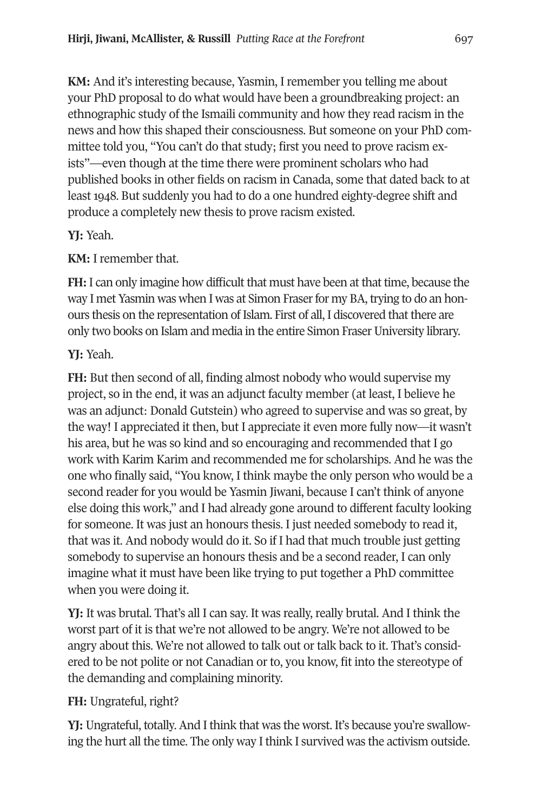**KM:** And it's interesting because, Yasmin, I remember you telling me about your PhD proposal to do what would have been a groundbreaking project: an ethnographic study of the Ismaili community and how they read racism in the news and how this shaped their consciousness. But someone on your PhD committee told you, "You can't do that study; first you need to prove racism exists"—even though at the time there were prominent scholars who had published books in other fields on racism in Canada, some that dated back to at least 1948. But suddenly you had to do a one hundred eighty-degree shift and produce a completely new thesis to prove racism existed.

### **YJ:** Yeah.

**KM:** I remember that.

**FH:** I can only imagine how difficult that must have been at that time, because the way I met Yasmin was when I was at Simon Fraser for my BA, trying to do an honours thesis on the representation of Islam. First of all, I discovered that there are only two books on Islam and media in the entire Simon Fraser University library.

# **YJ:** Yeah.

**FH:** But then second of all, finding almost nobody who would supervise my project, so in the end, it was an adjunct faculty member (at least, I believe he was an adjunct: Donald Gutstein) who agreed to supervise and was so great, by the way! I appreciated it then, but I appreciate it even more fully now—it wasn't his area, but he was so kind and so encouraging and recommended that I go work with Karim Karim and recommended me for scholarships. And he was the one who finally said, "You know, I think maybe the only person who would be a second reader for you would be Yasmin Jiwani, because I can't think of anyone else doing this work," and I had already gone around to different faculty looking for someone. It was just an honours thesis. I just needed somebody to read it, that was it. And nobody would do it. So if I had that much trouble just getting somebody to supervise an honours thesis and be a second reader, I can only imagine what it must have been like trying to put together a PhD committee when you were doing it.

**YJ:** It was brutal. That's all I can say. It was really, really brutal. And I think the worst part of it is that we're not allowed to be angry. We're not allowed to be angry about this. We're not allowed to talk out or talk back to it. That's considered to be not polite or not Canadian or to, you know, fit into the stereotype of the demanding and complaining minority.

# **FH:** Ungrateful, right?

**YJ:** Ungrateful, totally. And I think that was the worst. It's because you're swallowing the hurt all the time. The only way I think I survived was the activism outside.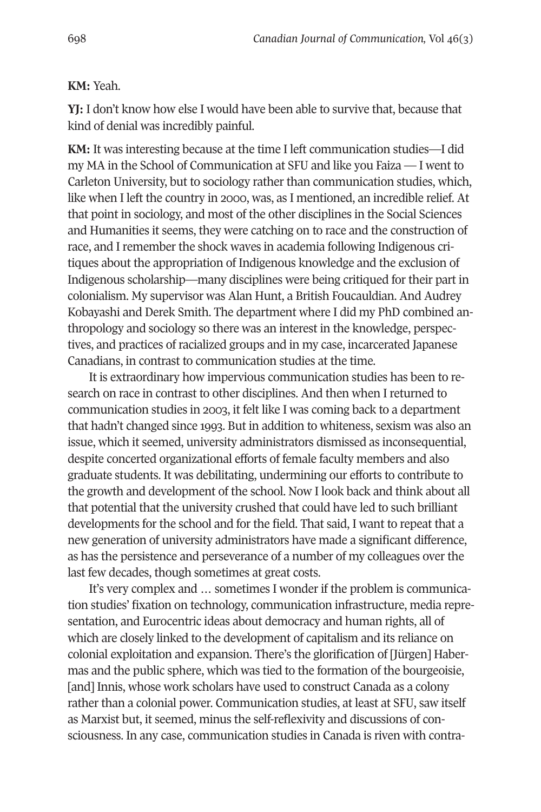#### **KM:** Yeah.

**YJ:** I don't know how else I would have been able to survive that, because that kind of denial was incredibly painful.

**KM:** It was interesting because at the time I left communication studies—I did my MA in the School of Communication at SFU and like you Faiza — I went to Carleton University, but to sociology rather than communication studies, which, like when I left the country in 2000, was, as I mentioned, an incredible relief. At that point in sociology, and most of the other disciplines in the Social Sciences and Humanities it seems, they were catching on to race and the construction of race, and I remember the shock waves in academia following Indigenous critiques about the appropriation of Indigenous knowledge and the exclusion of Indigenous scholarship—many disciplines were being critiqued for their part in colonialism. My supervisor was Alan Hunt, a British Foucauldian. And Audrey Kobayashi and Derek Smith. The department where I did my PhD combined anthropology and sociology so there was an interest in the knowledge, perspectives, and practices of racialized groups and in my case, incarcerated Japanese Canadians, in contrast to communication studies at the time.

It is extraordinary how impervious communication studies has been to research on race in contrast to other disciplines. And then when I returned to communication studies in 2003, it felt like I was coming back to a department that hadn't changed since 1993. But in addition to whiteness, sexism was also an issue, which it seemed, university administrators dismissed as inconsequential, despite concerted organizational efforts of female faculty members and also graduate students. It was debilitating, undermining our efforts to contribute to the growth and development of the school. Now I look back and think about all that potential that the university crushed that could have led to such brilliant developments for the school and for the field. That said, I want to repeat that a new generation of university administrators have made a significant difference, as has the persistence and perseverance of a number of my colleagues over the last few decades, though sometimes at great costs.

It's very complex and … sometimes I wonder if the problem is communication studies' fixation on technology, communication infrastructure, media representation, and Eurocentric ideas about democracy and human rights, all of which are closely linked to the development of capitalism and its reliance on colonial exploitation and expansion. There's the glorification of [Jürgen] Habermas and the public sphere, which was tied to the formation of the bourgeoisie, [and] Innis, whose work scholars have used to construct Canada as a colony rather than a colonial power. Communication studies, at least at SFU, saw itself as Marxist but, it seemed, minus the self-reflexivity and discussions of consciousness. In any case, communication studies in Canada is riven with contra-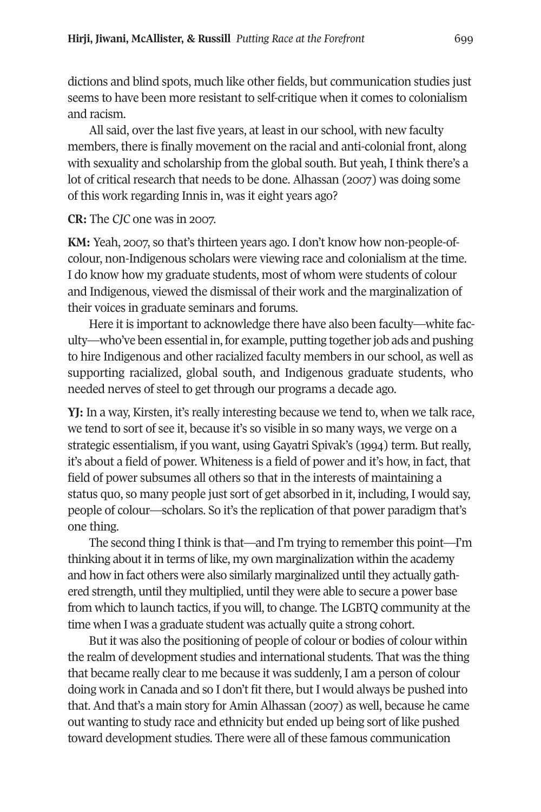dictions and blind spots, much like other fields, but communication studies just seems to have been more resistant to self-critique when it comes to colonialism and racism.

All said, over the last five years, at least in our school, with new faculty members, there is finally movement on the racial and anti-colonial front, along with sexuality and scholarship from the global south. But yeah, I think there's a lot of critical research that needs to be done. Alhassan (2007) was doing some of this work regarding Innis in, was it eight years ago?

### **CR:** The *CJC* one was in 2007.

**KM:** Yeah, 2007, so that's thirteen years ago. I don't know how non-people-ofcolour, non-Indigenous scholars were viewing race and colonialism at the time. I do know how my graduate students, most of whom were students of colour and Indigenous, viewed the dismissal of their work and the marginalization of their voices in graduate seminars and forums.

Here it is important to acknowledge there have also been faculty—white faculty—who've been essential in, for example, putting together job ads and pushing to hire Indigenous and other racialized faculty members in our school, as well as supporting racialized, global south, and Indigenous graduate students, who needed nerves of steel to get through our programs a decade ago.

**YJ:** In a way, Kirsten, it's really interesting because we tend to, when we talk race, we tend to sort of see it, because it's so visible in so many ways, we verge on a strategic essentialism, if you want, using Gayatri Spivak's (1994) term. But really, it's about a field of power. Whiteness is a field of power and it's how, in fact, that field of power subsumes all others so that in the interests of maintaining a status quo, so many people just sort of get absorbed in it, including, I would say, people of colour—scholars. So it's the replication of that power paradigm that's one thing.

The second thing I think is that—and I'm trying to remember this point—I'm thinking about it in terms of like, my own marginalization within the academy and how in fact others were also similarly marginalized until they actually gathered strength, until they multiplied, until they were able to secure a power base from which to launch tactics, if you will, to change. The LGBTQ community at the time when I was a graduate student was actually quite a strong cohort.

But it was also the positioning of people of colour or bodies of colour within the realm of development studies and international students. That was the thing that became really clear to me because it was suddenly, I am a person of colour doing work in Canada and so I don't fit there, but I would always be pushed into that. And that's a main story for Amin Alhassan (2007) as well, because he came out wanting to study race and ethnicity but ended up being sort of like pushed toward development studies. There were all of these famous communication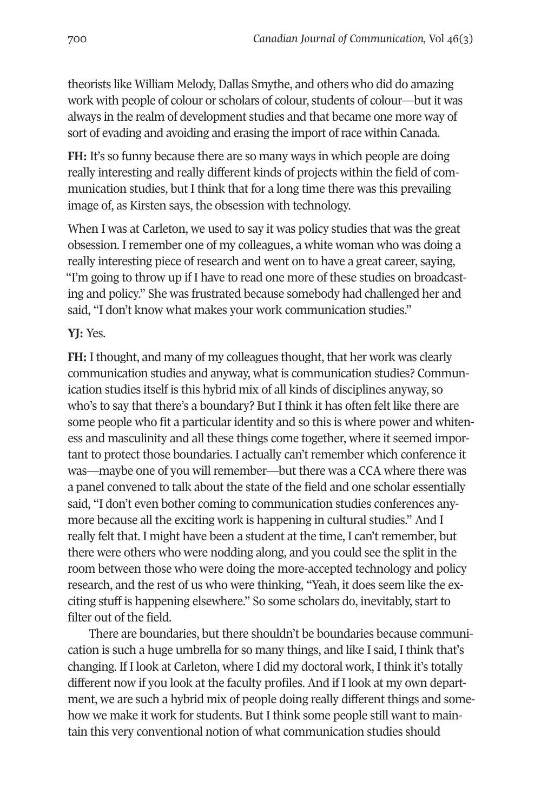theorists like William Melody, Dallas Smythe, and others who did do amazing work with people of colour or scholars of colour, students of colour—but it was always in the realm of development studies and that became one more way of sort of evading and avoiding and erasing the import of race within Canada.

**FH:** It's so funny because there are so many ways in which people are doing really interesting and really different kinds of projects within the field of communication studies, but I think that for a long time there was this prevailing image of, as Kirsten says, the obsession with technology.

When I was at Carleton, we used to say it was policy studies that was the great obsession. I remember one of my colleagues, a white woman who was doing a really interesting piece of research and went on to have a great career, saying, "I'm going to throw up if I have to read one more of these studies on broadcasting and policy." She was frustrated because somebody had challenged her and said, "I don't know what makes your work communication studies."

### **YJ:** Yes.

**FH:** I thought, and many of my colleagues thought, that her work was clearly communication studies and anyway, what is communication studies? Communication studies itself is this hybrid mix of all kinds of disciplines anyway, so who's to say that there's a boundary? But I think it has often felt like there are some people who fit a particular identity and so this is where power and whiteness and masculinity and all these things come together, where it seemed important to protect those boundaries. I actually can't remember which conference it was—maybe one of you will remember—but there was a CCA where there was a panel convened to talk about the state of the field and one scholar essentially said, "I don't even bother coming to communication studies conferences anymore because all the exciting work is happening in cultural studies." And I really felt that. I might have been a student at the time, I can't remember, but there were others who were nodding along, and you could see the split in the room between those who were doing the more-accepted technology and policy research, and the rest of us who were thinking, "Yeah, it does seem like the exciting stuff is happening elsewhere." So some scholars do, inevitably, start to filter out of the field.

There are boundaries, but there shouldn't be boundaries because communication is such a huge umbrella for so many things, and like I said, I think that's changing. If I look at Carleton, where I did my doctoral work, I think it's totally different now if you look at the faculty profiles. And if I look at my own department, we are such a hybrid mix of people doing really different things and somehow we make it work for students. But I think some people still want to maintain this very conventional notion of what communication studies should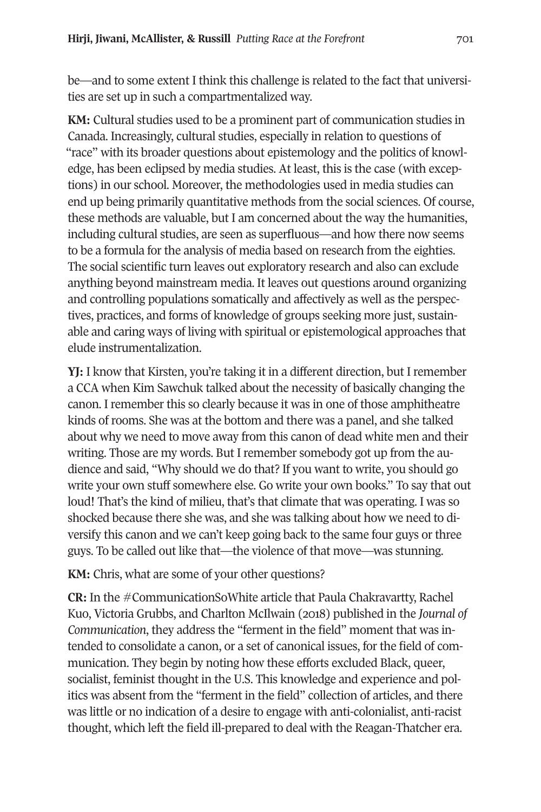be—and to some extent I think this challenge is related to the fact that universities are set up in such a compartmentalized way.

**KM:** Cultural studies used to be a prominent part of communication studies in Canada. Increasingly, cultural studies, especially in relation to questions of "race" with its broader questions about epistemology and the politics of knowledge, has been eclipsed by media studies. At least, this is the case (with exceptions) in our school. Moreover, the methodologies used in media studies can end up being primarily quantitative methods from the social sciences. Of course, these methods are valuable, but I am concerned about the way the humanities, including cultural studies, are seen as superfluous—and how there now seems to be a formula for the analysis of media based on research from the eighties. The social scientific turn leaves out exploratory research and also can exclude anything beyond mainstream media. It leaves out questions around organizing and controlling populations somatically and affectively as well as the perspectives, practices, and forms of knowledge of groups seeking more just, sustainable and caring ways of living with spiritual or epistemological approaches that elude instrumentalization.

**YJ:** I know that Kirsten, you're taking it in a different direction, but I remember a CCA when Kim Sawchuk talked about the necessity of basically changing the canon. I remember this so clearly because it was in one of those amphitheatre kinds of rooms. She was at the bottom and there was a panel, and she talked about why we need to move away from this canon of dead white men and their writing. Those are my words. But I remember somebody got up from the audience and said, "Why should we do that? If you want to write, you should go write your own stuff somewhere else. Go write your own books." To say that out loud! That's the kind of milieu, that's that climate that was operating. I was so shocked because there she was, and she was talking about how we need to diversify this canon and we can't keep going back to the same four guys or three guys. To be called out like that—the violence of that move—was stunning.

**KM:** Chris, what are some of your other questions?

**CR:** In the #CommunicationSoWhite article that Paula Chakravartty, Rachel Kuo, Victoria Grubbs, and Charlton McIlwain (2018) published in the *Journal of Communication*, they address the "ferment in the field" moment that was intended to consolidate a canon, or a set of canonical issues, for the field of communication. They begin by noting how these efforts excluded Black, queer, socialist, feminist thought in the U.S. This knowledge and experience and politics was absent from the "ferment in the field" collection of articles, and there was little or no indication of a desire to engage with anti-colonialist, anti-racist thought, which left the field ill-prepared to deal with the Reagan-Thatcher era.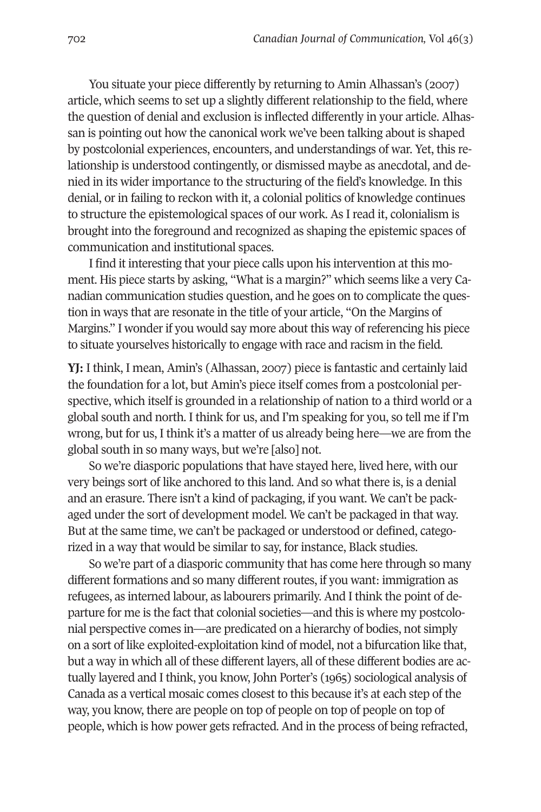You situate your piece differently by returning to Amin Alhassan's (2007) article, which seems to set up a slightly different relationship to the field, where the question of denial and exclusion is inflected differently in your article. Alhassan is pointing out how the canonical work we've been talking about is shaped by postcolonial experiences, encounters, and understandings of war. Yet, this relationship is understood contingently, or dismissed maybe as anecdotal, and denied in its wider importance to the structuring of the field's knowledge. In this denial, or in failing to reckon with it, a colonial politics of knowledge continues to structure the epistemological spaces of our work. As I read it, colonialism is brought into the foreground and recognized as shaping the epistemic spaces of communication and institutional spaces.

I find it interesting that your piece calls upon his intervention at this moment. His piece starts by asking, "What is a margin?" which seems like a very Canadian communication studies question, and he goes on to complicate the question in ways that are resonate in the title of your article, "On the Margins of Margins." I wonder if you would say more about this way of referencing his piece to situate yourselves historically to engage with race and racism in the field.

**YJ:** I think, I mean, Amin's (Alhassan, 2007) piece is fantastic and certainly laid the foundation for a lot, but Amin's piece itself comes from a postcolonial perspective, which itself is grounded in a relationship of nation to a third world or a global south and north. I think for us, and I'm speaking for you, so tell me if I'm wrong, but for us, I think it's a matter of us already being here—we are from the global south in so many ways, but we're [also] not.

So we're diasporic populations that have stayed here, lived here, with our very beings sort of like anchored to this land. And so what there is, is a denial and an erasure. There isn't a kind of packaging, if you want. We can't be packaged under the sort of development model. We can't be packaged in that way. But at the same time, we can't be packaged or understood or defined, categorized in a way that would be similar to say, for instance, Black studies.

So we're part of a diasporic community that has come here through so many different formations and so many different routes, if you want: immigration as refugees, as interned labour, as labourers primarily. And I think the point of departure for me is the fact that colonial societies—and this is where my postcolonial perspective comes in—are predicated on a hierarchy of bodies, not simply on a sort of like exploited-exploitation kind of model, not a bifurcation like that, but a way in which all of these different layers, all of these different bodies are actually layered and I think, you know, John Porter's (1965) sociological analysis of Canada as a vertical mosaic comes closest to this because it's at each step of the way, you know, there are people on top of people on top of people on top of people, which is how power gets refracted. And in the process of being refracted,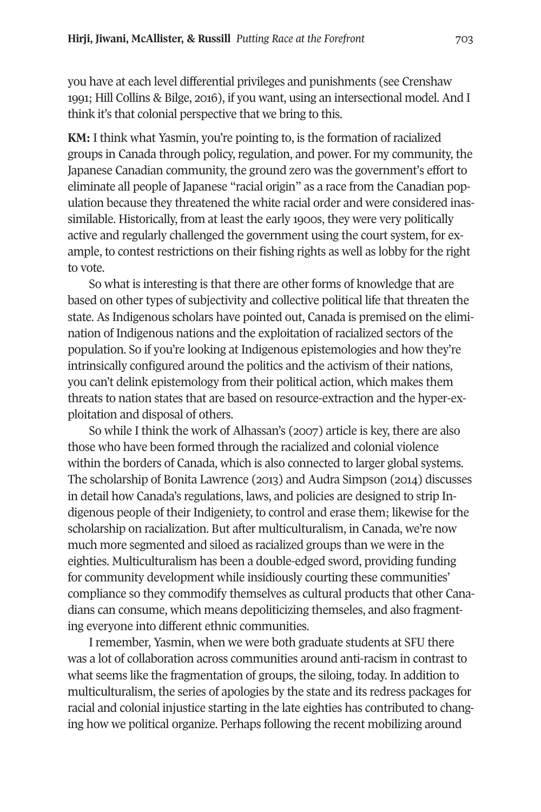you have at each level differential privileges and punishments (see Crenshaw 1991; Hill Collins & Bilge, 2016), if you want, using an intersectional model. And I think it's that colonial perspective that we bring to this.

**KM:** I think what Yasmin, you're pointing to, is the formation of racialized groups in Canada through policy, regulation, and power. For my community, the Japanese Canadian community, the ground zero was the government's effort to eliminate all people of Japanese "racial origin" as a race from the Canadian population because they threatened the white racial order and were considered inassimilable. Historically, from at least the early 1900s, they were very politically active and regularly challenged the government using the court system, for example, to contest restrictions on their fishing rights as well as lobby for the right to vote.

So what is interesting is that there are other forms of knowledge that are based on other types of subjectivity and collective political life that threaten the state. As Indigenous scholars have pointed out, Canada is premised on the elimination of Indigenous nations and the exploitation of racialized sectors of the population. So if you're looking at Indigenous epistemologies and how they're intrinsically configured around the politics and the activism of their nations, you can't delink epistemology from their political action, which makes them threats to nation states that are based on resource-extraction and the hyper-exploitation and disposal of others.

So while I think the work of Alhassan's (2007) article is key, there are also those who have been formed through the racialized and colonial violence within the borders of Canada, which is also connected to larger global systems. The scholarship of Bonita Lawrence (2013) and Audra Simpson (2014) discusses in detail how Canada's regulations, laws, and policies are designed to strip Indigenous people of their Indigeniety, to control and erase them; likewise for the scholarship on racialization. But after multiculturalism, in Canada, we're now much more segmented and siloed as racialized groups than we were in the eighties. Multiculturalism has been a double-edged sword, providing funding for community development while insidiously courting these communities' compliance so they commodify themselves as cultural products that other Canadians can consume, which means depoliticizing themseles, and also fragmenting everyone into different ethnic communities.

I remember, Yasmin, when we were both graduate students at SFU there was a lot of collaboration across communities around anti-racism in contrast to what seems like the fragmentation of groups, the siloing, today. In addition to multiculturalism, the series of apologies by the state and its redress packages for racial and colonial injustice starting in the late eighties has contributed to changing how we political organize. Perhaps following the recent mobilizing around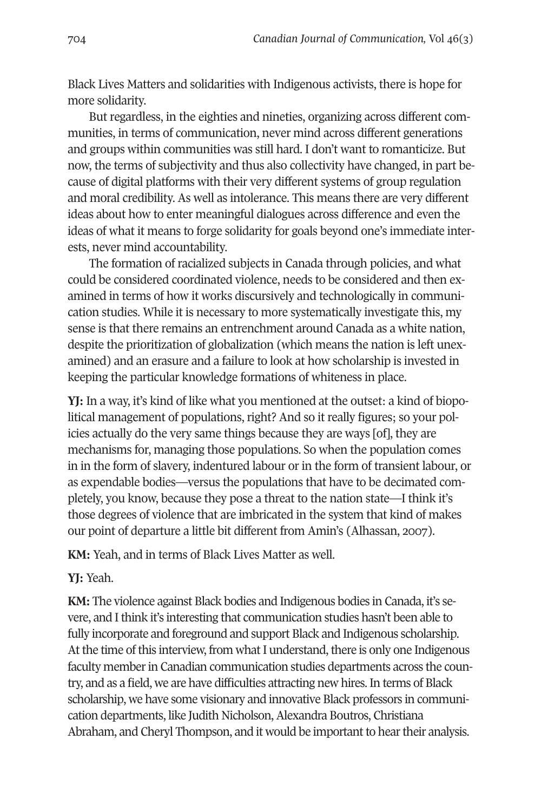Black Lives Matters and solidarities with Indigenous activists, there is hope for more solidarity.

But regardless, in the eighties and nineties, organizing across different communities, in terms of communication, never mind across different generations and groups within communities was still hard. I don't want to romanticize. But now, the terms of subjectivity and thus also collectivity have changed, in part because of digital platforms with their very different systems of group regulation and moral credibility. As well as intolerance. This means there are very different ideas about how to enter meaningful dialogues across difference and even the ideas of what it means to forge solidarity for goals beyond one's immediate interests, never mind accountability.

The formation of racialized subjects in Canada through policies, and what could be considered coordinated violence, needs to be considered and then examined in terms of how it works discursively and technologically in communication studies. While it is necessary to more systematically investigate this, my sense is that there remains an entrenchment around Canada as a white nation, despite the prioritization of globalization (which means the nation is left unexamined) and an erasure and a failure to look at how scholarship is invested in keeping the particular knowledge formations of whiteness in place.

**YJ:** In a way, it's kind of like what you mentioned at the outset: a kind of biopolitical management of populations, right? And so it really figures; so your policies actually do the very same things because they are ways [of], they are mechanisms for, managing those populations. So when the population comes in in the form of slavery, indentured labour or in the form of transient labour, or as expendable bodies—versus the populations that have to be decimated completely, you know, because they pose a threat to the nation state—I think it's those degrees of violence that are imbricated in the system that kind of makes our point of departure a little bit different from Amin's (Alhassan, 2007).

**KM:** Yeah, and in terms of Black Lives Matter as well.

### **YJ:** Yeah.

**KM:** The violence against Black bodies and Indigenous bodies in Canada, it's severe, and I think it's interesting that communication studies hasn't been able to fully incorporate and foreground and support Black and Indigenous scholarship. At the time of this interview, from what I understand, there is only one Indigenous faculty member in Canadian communication studies departments across the country, and as a field, we are have difficulties attracting new hires. In terms of Black scholarship, we have some visionary and innovative Black professors in communication departments, like Judith Nicholson, Alexandra Boutros, Christiana Abraham, and Cheryl Thompson, and it would be important to hear their analysis.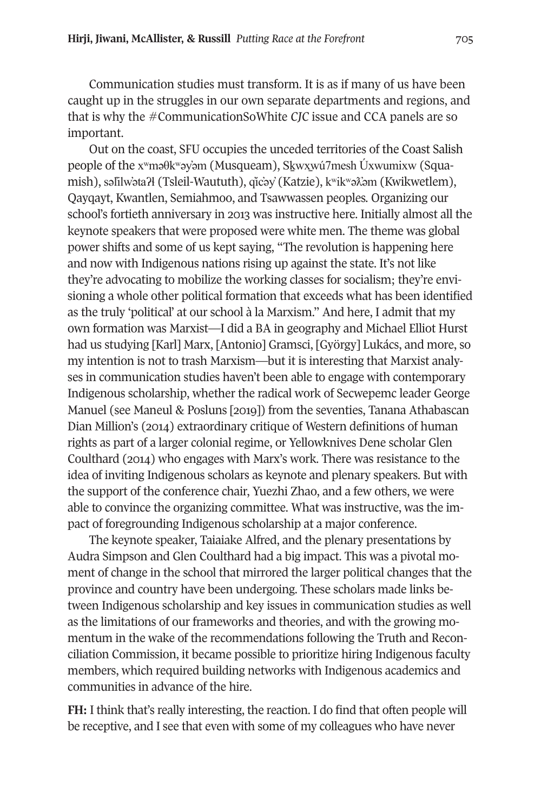Communication studies must transform. It is as if many of us have been caught up in the struggles in our own separate departments and regions, and that is why the #CommunicationSoWhite *CJC* issue and CCA panels are so important.

Out on the coast, SFU occupies the unceded territories of the Coast Salish people of the x<sup>w</sup>məθk<sup>w</sup>əy`əm (Musqueam), S<u>kwxw</u>ú7mesh Üxwumixw (Squamish), səlilwəta?ł (Tsleil-Waututh), qicəy (Katzie), kwikwə $\tilde{x}$ əm (Kwikwetlem), Qayqayt, Kwantlen, Semiahmoo, and Tsawwassen peoples*.* Organizing our school's fortieth anniversary in 2013 was instructive here. Initially almost all the keynote speakers that were proposed were white men. The theme was global power shifts and some of us kept saying, "The revolution is happening here and now with Indigenous nations rising up against the state. It's not like they're advocating to mobilize the working classes for socialism; they're envisioning a whole other political formation that exceeds what has been identified as the truly 'political' at our school à la Marxism." And here, I admit that my own formation was Marxist—I did a BA in geography and Michael Elliot Hurst had us studying [Karl] Marx, [Antonio] Gramsci, [György] Lukács, and more, so my intention is not to trash Marxism—but it is interesting that Marxist analyses in communication studies haven't been able to engage with contemporary Indigenous scholarship, whether the radical work of Secwepemc leader George Manuel (see Maneul & Posluns [2019]) from the seventies, Tanana Athabascan Dian Million's (2014) extraordinary critique of Western definitions of human rights as part of a larger colonial regime, or Yellowknives Dene scholar Glen Coulthard (2014) who engages with Marx's work. There was resistance to the idea of inviting Indigenous scholars as keynote and plenary speakers. But with the support of the conference chair, Yuezhi Zhao, and a few others, we were able to convince the organizing committee. What was instructive, was the impact of foregrounding Indigenous scholarship at a major conference.

The keynote speaker, Taiaiake Alfred, and the plenary presentations by Audra Simpson and Glen Coulthard had a big impact. This was a pivotal moment of change in the school that mirrored the larger political changes that the province and country have been undergoing. These scholars made links between Indigenous scholarship and key issues in communication studies as well as the limitations of our frameworks and theories, and with the growing momentum in the wake of the recommendations following the Truth and Reconciliation Commission, it became possible to prioritize hiring Indigenous faculty members, which required building networks with Indigenous academics and communities in advance of the hire.

**FH:** I think that's really interesting, the reaction. I do find that often people will be receptive, and I see that even with some of my colleagues who have never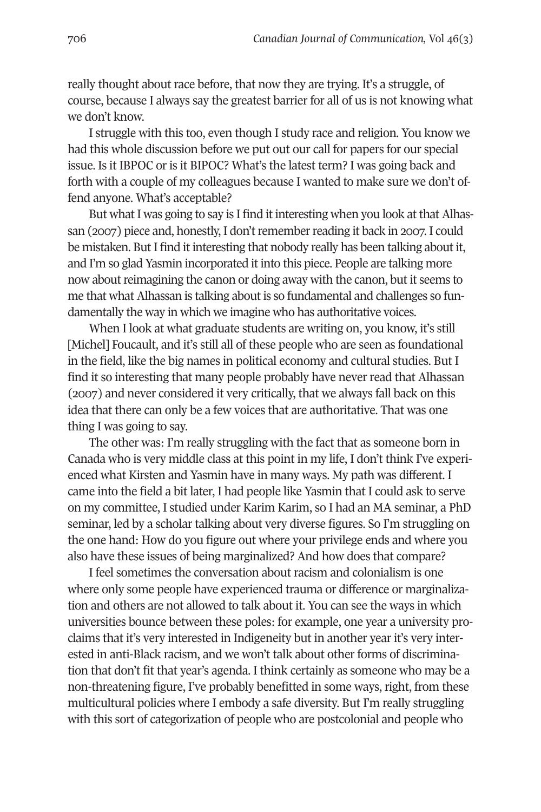really thought about race before, that now they are trying. It's a struggle, of course, because I always say the greatest barrier for all of us is not knowing what we don't know.

I struggle with this too, even though I study race and religion. You know we had this whole discussion before we put out our call for papers for our special issue. Is it IBPOC or is it BIPOC? What's the latest term? I was going back and forth with a couple of my colleagues because I wanted to make sure we don't offend anyone. What's acceptable?

But what I was going to say is I find it interesting when you look at that Alhassan (2007) piece and, honestly, I don't remember reading it back in 2007. I could be mistaken. But I find it interesting that nobody really has been talking about it, and I'm so glad Yasmin incorporated it into this piece. People are talking more now about reimagining the canon or doing away with the canon, but it seems to me that what Alhassan is talking about is so fundamental and challenges so fundamentally the way in which we imagine who has authoritative voices.

When I look at what graduate students are writing on, you know, it's still [Michel] Foucault, and it's still all of these people who are seen as foundational in the field, like the big names in political economy and cultural studies. But I find it so interesting that many people probably have never read that Alhassan (2007) and never considered it very critically, that we always fall back on this idea that there can only be a few voices that are authoritative. That was one thing I was going to say.

The other was: I'm really struggling with the fact that as someone born in Canada who is very middle class at this point in my life, I don't think I've experienced what Kirsten and Yasmin have in many ways. My path was different. I came into the field a bit later, I had people like Yasmin that I could ask to serve on my committee, I studied under Karim Karim, so I had an MA seminar, a PhD seminar, led by a scholar talking about very diverse figures. So I'm struggling on the one hand: How do you figure out where your privilege ends and where you also have these issues of being marginalized? And how does that compare?

I feel sometimes the conversation about racism and colonialism is one where only some people have experienced trauma or difference or marginalization and others are not allowed to talk about it. You can see the ways in which universities bounce between these poles: for example, one year a university proclaims that it's very interested in Indigeneity but in another year it's very interested in anti-Black racism, and we won't talk about other forms of discrimination that don't fit that year's agenda. I think certainly as someone who may be a non-threatening figure, I've probably benefitted in some ways, right, from these multicultural policies where I embody a safe diversity. But I'm really struggling with this sort of categorization of people who are postcolonial and people who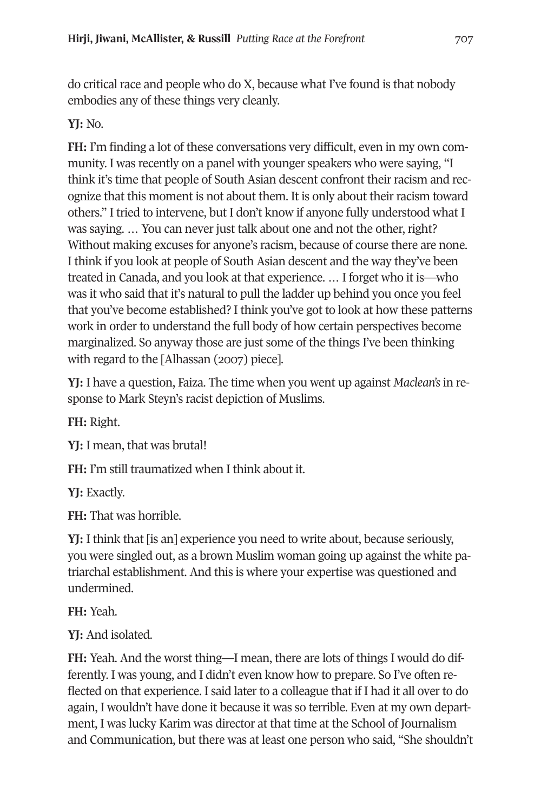do critical race and people who do X, because what I've found is that nobody embodies any of these things very cleanly.

### **YJ:** No.

**FH:** I'm finding a lot of these conversations very difficult, even in my own community. I was recently on a panel with younger speakers who were saying, "I think it's time that people of South Asian descent confront their racism and recognize that this moment is not about them. It is only about their racism toward others." I tried to intervene, but I don't know if anyone fully understood what I was saying. … You can never just talk about one and not the other, right? Without making excuses for anyone's racism, because of course there are none. I think if you look at people of South Asian descent and the way they've been treated in Canada, and you look at that experience. … I forget who it is—who was it who said that it's natural to pull the ladder up behind you once you feel that you've become established? I think you've got to look at how these patterns work in order to understand the full body of how certain perspectives become marginalized. So anyway those are just some of the things I've been thinking with regard to the [Alhassan (2007) piece].

**YJ:** I have a question, Faiza. The time when you went up against *Maclean's* in response to Mark Steyn's racist depiction of Muslims.

**FH:** Right.

**YJ:** I mean, that was brutal!

**FH:** I'm still traumatized when I think about it.

**YJ:** Exactly.

**FH:** That was horrible.

**YJ:** I think that [is an] experience you need to write about, because seriously, you were singled out, as a brown Muslim woman going up against the white patriarchal establishment. And this is where your expertise was questioned and undermined.

**FH:** Yeah.

**YJ:** And isolated.

**FH:** Yeah. And the worst thing—I mean, there are lots of things I would do differently. I was young, and I didn't even know how to prepare. So I've often reflected on that experience. I said later to a colleague that if I had it all over to do again, I wouldn't have done it because it was so terrible. Even at my own department, I was lucky Karim was director at that time at the School of Journalism and Communication, but there was at least one person who said, "She shouldn't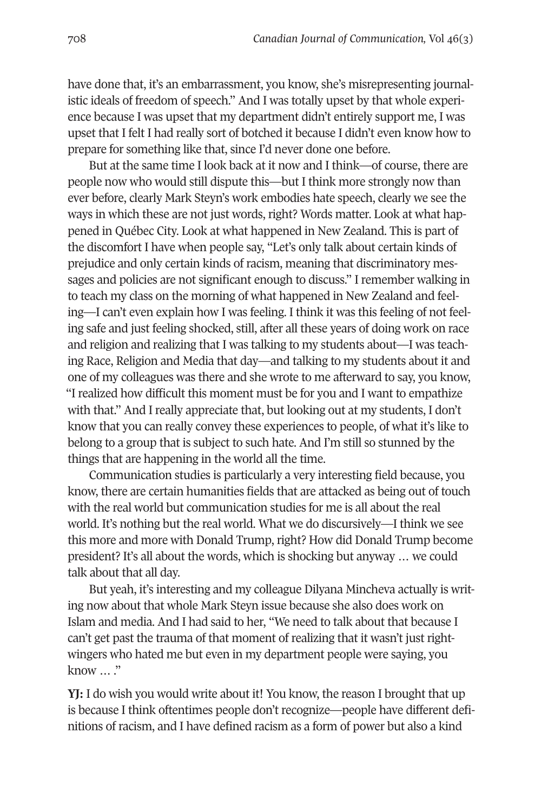have done that, it's an embarrassment, you know, she's misrepresenting journalistic ideals of freedom of speech." And I was totally upset by that whole experience because I was upset that my department didn't entirely support me, I was upset that I felt I had really sort of botched it because I didn't even know how to prepare for something like that, since I'd never done one before.

But at the same time I look back at it now and I think—of course, there are people now who would still dispute this—but I think more strongly now than ever before, clearly Mark Steyn's work embodies hate speech, clearly we see the ways in which these are not just words, right? Words matter. Look at what happened in Québec City. Look at what happened in New Zealand. This is part of the discomfort I have when people say, "Let's only talk about certain kinds of prejudice and only certain kinds of racism, meaning that discriminatory messages and policies are not significant enough to discuss." I remember walking in to teach my class on the morning of what happened in New Zealand and feeling—I can't even explain how I was feeling. I think it was this feeling of not feeling safe and just feeling shocked, still, after all these years of doing work on race and religion and realizing that I was talking to my students about—I was teaching Race, Religion and Media that day—and talking to my students about it and one of my colleagues was there and she wrote to me afterward to say, you know, "I realized how difficult this moment must be for you and I want to empathize with that." And I really appreciate that, but looking out at my students, I don't know that you can really convey these experiences to people, of what it's like to belong to a group that is subject to such hate. And I'm still so stunned by the things that are happening in the world all the time.

Communication studies is particularly a very interesting field because, you know, there are certain humanities fields that are attacked as being out of touch with the real world but communication studies for me is all about the real world. It's nothing but the real world. What we do discursively—I think we see this more and more with Donald Trump, right? How did Donald Trump become president? It's all about the words, which is shocking but anyway … we could talk about that all day.

But yeah, it's interesting and my colleague Dilyana Mincheva actually is writing now about that whole Mark Steyn issue because she also does work on Islam and media. And I had said to her, "We need to talk about that because I can't get past the trauma of that moment of realizing that it wasn't just rightwingers who hated me but even in my department people were saying, you know … ."

**YJ:** I do wish you would write about it! You know, the reason I brought that up is because I think oftentimes people don't recognize—people have different definitions of racism, and I have defined racism as a form of power but also a kind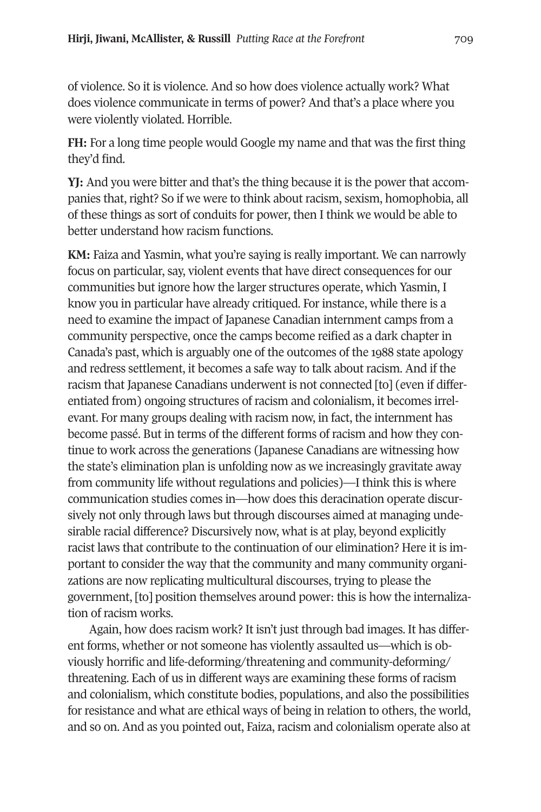of violence. So it is violence. And so how does violence actually work? What does violence communicate in terms of power? And that's a place where you were violently violated. Horrible.

**FH:** For a long time people would Google my name and that was the first thing they'd find.

**YJ:** And you were bitter and that's the thing because it is the power that accompanies that, right? So if we were to think about racism, sexism, homophobia, all of these things as sort of conduits for power, then I think we would be able to better understand how racism functions.

**KM:** Faiza and Yasmin, what you're saying is really important. We can narrowly focus on particular, say, violent events that have direct consequences for our communities but ignore how the larger structures operate, which Yasmin, I know you in particular have already critiqued. For instance, while there is a need to examine the impact of Japanese Canadian internment camps from a community perspective, once the camps become reified as a dark chapter in Canada's past, which is arguably one of the outcomes of the 1988 state apology and redress settlement, it becomes a safe way to talk about racism. And if the racism that Japanese Canadians underwent is not connected [to] (even if differentiated from) ongoing structures of racism and colonialism, it becomes irrelevant. For many groups dealing with racism now, in fact, the internment has become passé. But in terms of the different forms of racism and how they continue to work across the generations (Japanese Canadians are witnessing how the state's elimination plan is unfolding now as we increasingly gravitate away from community life without regulations and policies)—I think this is where communication studies comes in—how does this deracination operate discursively not only through laws but through discourses aimed at managing undesirable racial difference? Discursively now, what is at play, beyond explicitly racist laws that contribute to the continuation of our elimination? Here it is important to consider the way that the community and many community organizations are now replicating multicultural discourses, trying to please the government, [to] position themselves around power: this is how the internalization of racism works.

Again, how does racism work? It isn't just through bad images. It has different forms, whether or not someone has violently assaulted us—which is obviously horrific and life-deforming/threatening and community-deforming/ threatening. Each of us in different ways are examining these forms of racism and colonialism, which constitute bodies, populations, and also the possibilities for resistance and what are ethical ways of being in relation to others, the world, and so on. And as you pointed out, Faiza, racism and colonialism operate also at